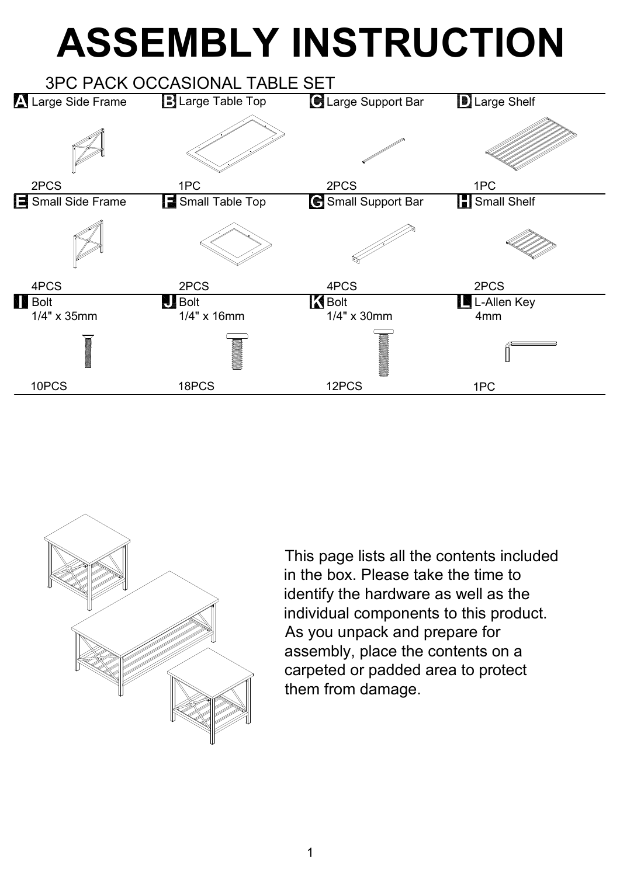## **ASSEMBLY INSTRUCTION**





This page lists all the contents included in the box. Please take the time to identify the hardware as well as the individual components to this product. As you unpack and prepare for assembly, place the contents on a carpeted or padded area to protect them from damage.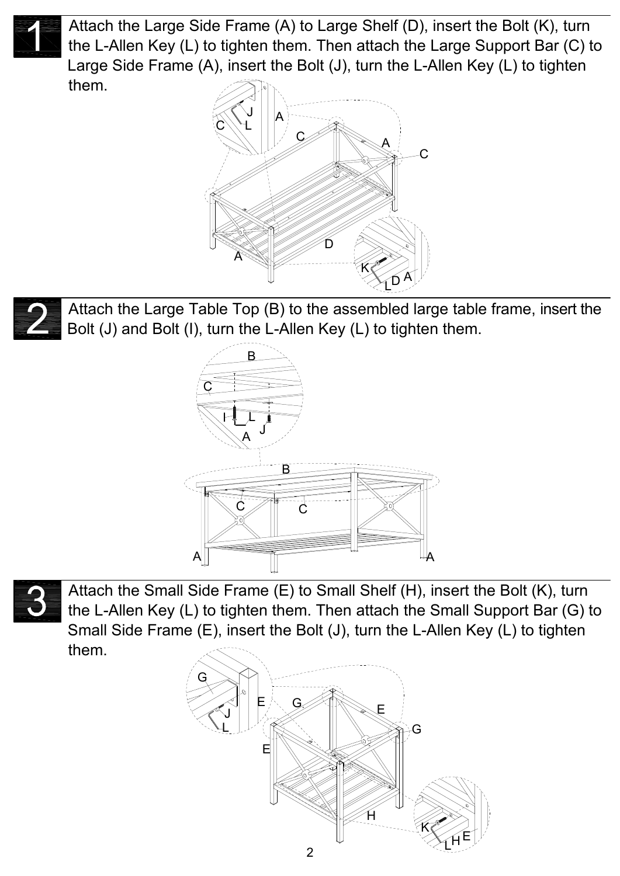

Attach the Large Side Frame (A) to Large Shelf (D), insert the Bolt (K), turn the L-Allen Key (L) to tighten them. Then attach the Large Support Bar (C) to Large Side Frame (A), insert the Bolt (J), turn the L-Allen Key (L) to tighten them.



Attach the Large Table Top (B) to the assembled large table frame, insert the Bolt (J) and Bolt (I), turn the L-Allen Key (L) to tighten them.





Attach the Small Side Frame (E) to Small Shelf (H), insert the Bolt (K), turn the L-Allen Key (L) to tighten them. Then attach the Small Support Bar (G) to Small Side Frame (E), insert the Bolt (J), turn the L-Allen Key (L) to tighten them.